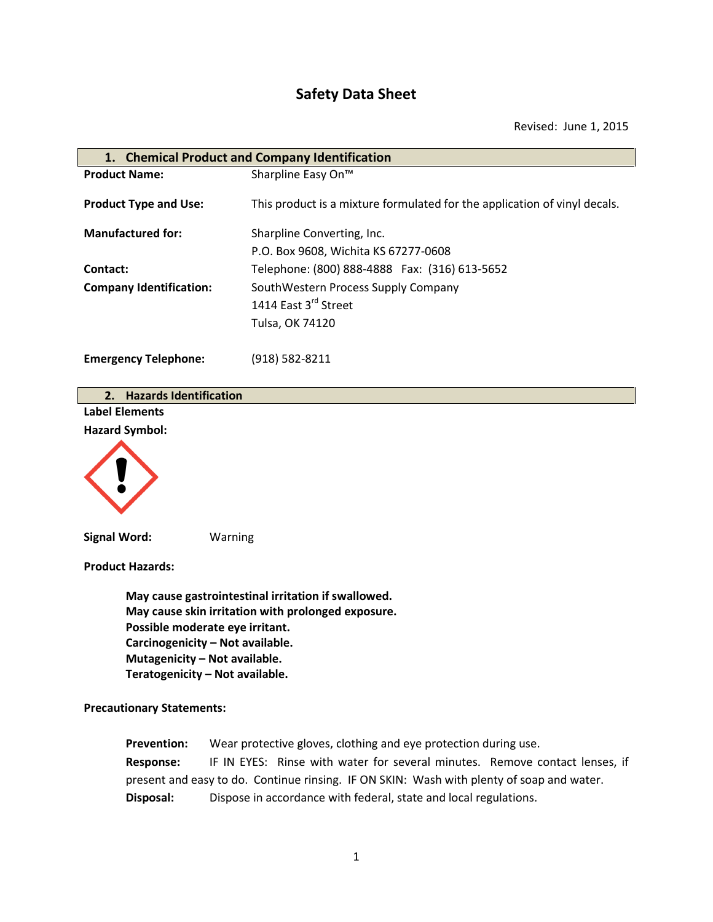# **Safety Data Sheet**

Revised: June 1, 2015

| 1. Chemical Product and Company Identification |                                                                           |  |
|------------------------------------------------|---------------------------------------------------------------------------|--|
| <b>Product Name:</b>                           | Sharpline Easy On <sup>™</sup>                                            |  |
| <b>Product Type and Use:</b>                   | This product is a mixture formulated for the application of vinyl decals. |  |
| <b>Manufactured for:</b>                       | Sharpline Converting, Inc.                                                |  |
|                                                | P.O. Box 9608, Wichita KS 67277-0608                                      |  |
| Contact:                                       | Telephone: (800) 888-4888  Fax: (316) 613-5652                            |  |
| <b>Company Identification:</b>                 | SouthWestern Process Supply Company                                       |  |
|                                                | 1414 East 3rd Street                                                      |  |
|                                                | Tulsa, OK 74120                                                           |  |
| <b>Emergency Telephone:</b>                    | $(918) 582 - 8211$                                                        |  |

|  | 2. Hazards Identification |
|--|---------------------------|
|  |                           |

**Label Elements Hazard Symbol:**



**Signal Word:** Warning

**Product Hazards:**

**May cause gastrointestinal irritation if swallowed. May cause skin irritation with prolonged exposure. Possible moderate eye irritant. Carcinogenicity – Not available. Mutagenicity – Not available. Teratogenicity – Not available.**

**Precautionary Statements:**

**Prevention:** Wear protective gloves, clothing and eye protection during use. **Response:** IF IN EYES: Rinse with water for several minutes. Remove contact lenses, if present and easy to do. Continue rinsing. IF ON SKIN: Wash with plenty of soap and water. **Disposal:** Dispose in accordance with federal, state and local regulations.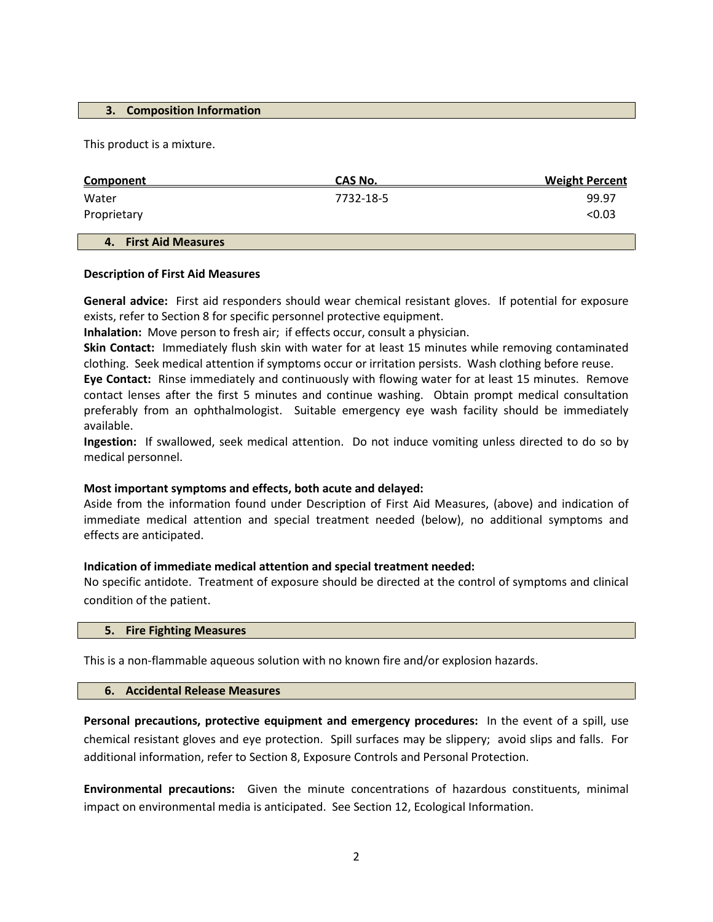#### **3. Composition Information**

This product is a mixture.

| <b>Component</b>                | CAS No.   | <b>Weight Percent</b> |
|---------------------------------|-----------|-----------------------|
| Water                           | 7732-18-5 | 99.97                 |
| Proprietary                     |           | < 0.03                |
| <b>First Aid Measures</b><br>4. |           |                       |

#### **Description of First Aid Measures**

**General advice:** First aid responders should wear chemical resistant gloves. If potential for exposure exists, refer to Section 8 for specific personnel protective equipment.

**Inhalation:** Move person to fresh air; if effects occur, consult a physician.

**Skin Contact:** Immediately flush skin with water for at least 15 minutes while removing contaminated clothing. Seek medical attention if symptoms occur or irritation persists. Wash clothing before reuse.

**Eye Contact:** Rinse immediately and continuously with flowing water for at least 15 minutes. Remove contact lenses after the first 5 minutes and continue washing. Obtain prompt medical consultation preferably from an ophthalmologist. Suitable emergency eye wash facility should be immediately available.

**Ingestion:** If swallowed, seek medical attention. Do not induce vomiting unless directed to do so by medical personnel.

## **Most important symptoms and effects, both acute and delayed:**

Aside from the information found under Description of First Aid Measures, (above) and indication of immediate medical attention and special treatment needed (below), no additional symptoms and effects are anticipated.

## **Indication of immediate medical attention and special treatment needed:**

No specific antidote. Treatment of exposure should be directed at the control of symptoms and clinical condition of the patient.

#### **5. Fire Fighting Measures**

This is a non-flammable aqueous solution with no known fire and/or explosion hazards.

#### **6. Accidental Release Measures**

**Personal precautions, protective equipment and emergency procedures:** In the event of a spill, use chemical resistant gloves and eye protection. Spill surfaces may be slippery; avoid slips and falls. For additional information, refer to Section 8, Exposure Controls and Personal Protection.

**Environmental precautions:** Given the minute concentrations of hazardous constituents, minimal impact on environmental media is anticipated. See Section 12, Ecological Information.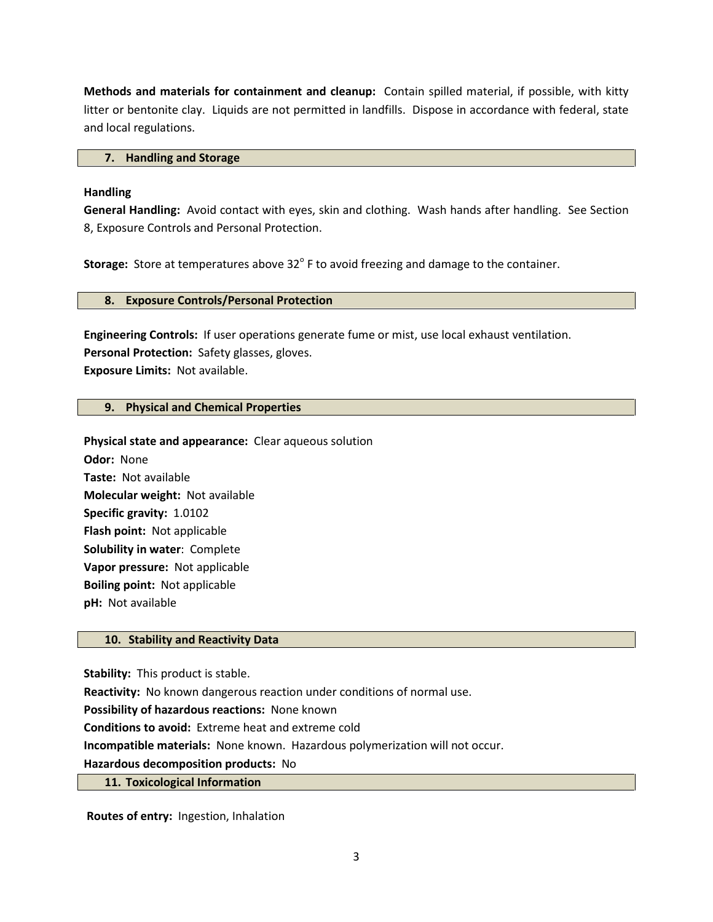**Methods and materials for containment and cleanup:** Contain spilled material, if possible, with kitty litter or bentonite clay. Liquids are not permitted in landfills. Dispose in accordance with federal, state and local regulations.

## **7. Handling and Storage**

# **Handling**

**General Handling:** Avoid contact with eyes, skin and clothing. Wash hands after handling. See Section 8, Exposure Controls and Personal Protection.

**Storage:** Store at temperatures above 32° F to avoid freezing and damage to the container.

## **8. Exposure Controls/Personal Protection**

**Engineering Controls:** If user operations generate fume or mist, use local exhaust ventilation. **Personal Protection:** Safety glasses, gloves. **Exposure Limits:** Not available.

# **9. Physical and Chemical Properties**

**Physical state and appearance:** Clear aqueous solution **Odor:** None **Taste:** Not available **Molecular weight:** Not available **Specific gravity:** 1.0102 **Flash point:** Not applicable **Solubility in water**: Complete **Vapor pressure:** Not applicable **Boiling point:** Not applicable **pH:** Not available

# **10. Stability and Reactivity Data**

**Stability:** This product is stable.

**Reactivity:** No known dangerous reaction under conditions of normal use.

**Possibility of hazardous reactions:** None known

**Conditions to avoid:** Extreme heat and extreme cold

**Incompatible materials:** None known. Hazardous polymerization will not occur.

**Hazardous decomposition products:** No

## **11. Toxicological Information**

**Routes of entry:** Ingestion, Inhalation